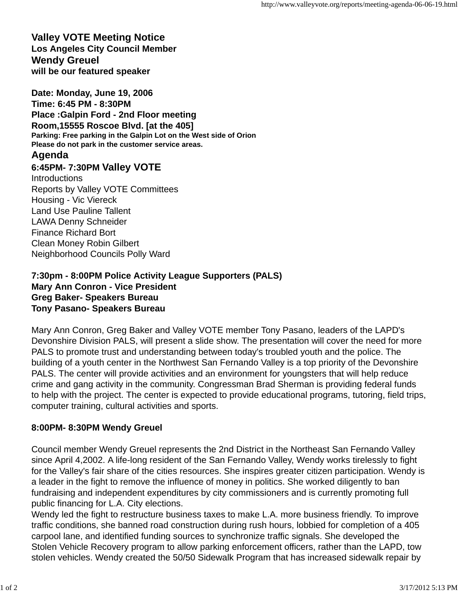## **Valley VOTE Meeting Notice Los Angeles City Council Member Wendy Greuel will be our featured speaker**

**Date: Monday, June 19, 2006 Time: 6:45 PM - 8:30PM Place :Galpin Ford - 2nd Floor meeting Room,15555 Roscoe Blvd. [at the 405] Parking: Free parking in the Galpin Lot on the West side of Orion Please do not park in the customer service areas.**

# **Agenda**

# **6:45PM- 7:30PM Valley VOTE**

**Introductions** Reports by Valley VOTE Committees Housing - Vic Viereck Land Use Pauline Tallent LAWA Denny Schneider Finance Richard Bort Clean Money Robin Gilbert Neighborhood Councils Polly Ward

#### **7:30pm - 8:00PM Police Activity League Supporters (PALS) Mary Ann Conron - Vice President Greg Baker- Speakers Bureau Tony Pasano- Speakers Bureau**

Mary Ann Conron, Greg Baker and Valley VOTE member Tony Pasano, leaders of the LAPD's Devonshire Division PALS, will present a slide show. The presentation will cover the need for more PALS to promote trust and understanding between today's troubled youth and the police. The building of a youth center in the Northwest San Fernando Valley is a top priority of the Devonshire PALS. The center will provide activities and an environment for youngsters that will help reduce crime and gang activity in the community. Congressman Brad Sherman is providing federal funds to help with the project. The center is expected to provide educational programs, tutoring, field trips, computer training, cultural activities and sports.

## **8:00PM- 8:30PM Wendy Greuel**

Council member Wendy Greuel represents the 2nd District in the Northeast San Fernando Valley since April 4,2002. A life-long resident of the San Fernando Valley, Wendy works tirelessly to fight for the Valley's fair share of the cities resources. She inspires greater citizen participation. Wendy is a leader in the fight to remove the influence of money in politics. She worked diligently to ban fundraising and independent expenditures by city commissioners and is currently promoting full public financing for L.A. City elections.

Wendy led the fight to restructure business taxes to make L.A. more business friendly. To improve traffic conditions, she banned road construction during rush hours, lobbied for completion of a 405 carpool lane, and identified funding sources to synchronize traffic signals. She developed the Stolen Vehicle Recovery program to allow parking enforcement officers, rather than the LAPD, tow stolen vehicles. Wendy created the 50/50 Sidewalk Program that has increased sidewalk repair by